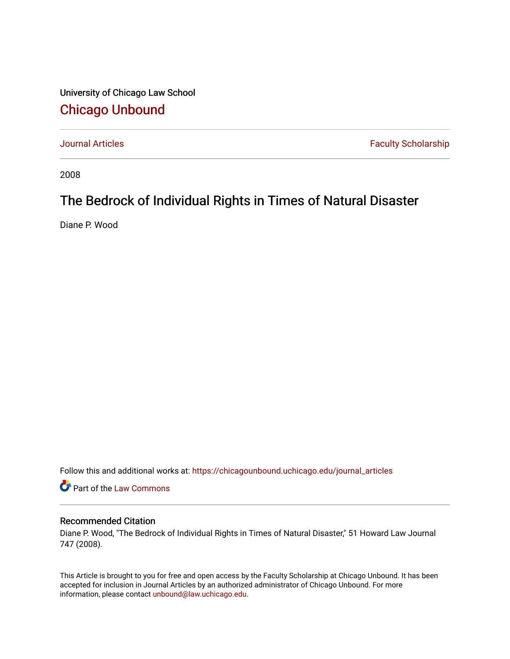University of Chicago Law School [Chicago Unbound](https://chicagounbound.uchicago.edu/)

[Journal Articles](https://chicagounbound.uchicago.edu/journal_articles) **Faculty Scholarship Faculty Scholarship** 

2008

# The Bedrock of Individual Rights in Times of Natural Disaster

Diane P. Wood

Follow this and additional works at: [https://chicagounbound.uchicago.edu/journal\\_articles](https://chicagounbound.uchicago.edu/journal_articles?utm_source=chicagounbound.uchicago.edu%2Fjournal_articles%2F2050&utm_medium=PDF&utm_campaign=PDFCoverPages) 

Part of the [Law Commons](http://network.bepress.com/hgg/discipline/578?utm_source=chicagounbound.uchicago.edu%2Fjournal_articles%2F2050&utm_medium=PDF&utm_campaign=PDFCoverPages)

### Recommended Citation

Diane P. Wood, "The Bedrock of Individual Rights in Times of Natural Disaster," 51 Howard Law Journal 747 (2008).

This Article is brought to you for free and open access by the Faculty Scholarship at Chicago Unbound. It has been accepted for inclusion in Journal Articles by an authorized administrator of Chicago Unbound. For more information, please contact [unbound@law.uchicago.edu](mailto:unbound@law.uchicago.edu).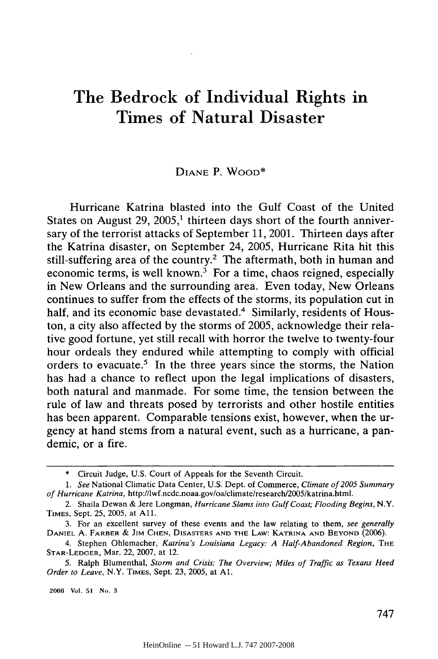# The Bedrock of Individual Rights in Times of Natural Disaster

#### DIANE P. WOOD\*

Hurricane Katrina blasted into the Gulf Coast of the United States on August 29, 2005,<sup>1</sup> thirteen days short of the fourth anniversary of the terrorist attacks of September 11, 2001. Thirteen days after the Katrina disaster, on September 24, 2005, Hurricane Rita hit this still-suffering area of the country.<sup>2</sup> The aftermath, both in human and economic terms, is well known.<sup>3</sup> For a time, chaos reigned, especially in New Orleans and the surrounding area. Even today, New Orleans continues to suffer from the effects of the storms, its population cut in half, and its economic base devastated.<sup>4</sup> Similarly, residents of Houston, a city also affected by the storms of 2005, acknowledge their relative good fortune, yet still recall with horror the twelve to twenty-four hour ordeals they endured while attempting to comply with official orders to evacuate.<sup>5</sup> In the three years since the storms, the Nation has had a chance to reflect upon the legal implications of disasters, both natural and manmade. For some time, the tension between the rule of law and threats posed by terrorists and other hostile entities has been apparent. Comparable tensions exist, however, when the urgency at hand stems from a natural event, such as a hurricane, a pandemic, or a fire.

2008 Vol. **51** No. **3**

<sup>\*</sup> Circuit Judge, U.S. Court of Appeals for the Seventh Circuit.

*<sup>1.</sup> See* National Climatic Data Center, U.S. Dept. of Commerce, *Climate of 2005 Summary of Hurricane Katrina,* http://lwf.ncdc.noaa.gov/oa/climate/researchl2005/katrina.html.

<sup>2.</sup> Shaila Dewan & Jere Longman, *Hurricane Slams into Gulf Coast; Flooding Begins,* N.Y. TIMES, Sept. 25, 2005, at All.

<sup>3.</sup> For an excellent survey of these events and the law relating to them, *see generally* DANIEL A. FARBER & **JIM CHEN, DISASTERS AND THE** LAW: KATRINA **AND** BEYOND (2006).

<sup>4.</sup> Stephen Ohlemacher, *Katrina's Louisiana Legacy: A Half-Abandoned Region,* **THE** STAR-LEDGER, Mar. 22, 2007, at 12.

<sup>5.</sup> Ralph Blumenthal, *Storm and Crisis: The Overview; Miles of Traffic as Texans Heed Order to Leave,* N.Y. TIMES, Sept. 23, 2005, at **Al.**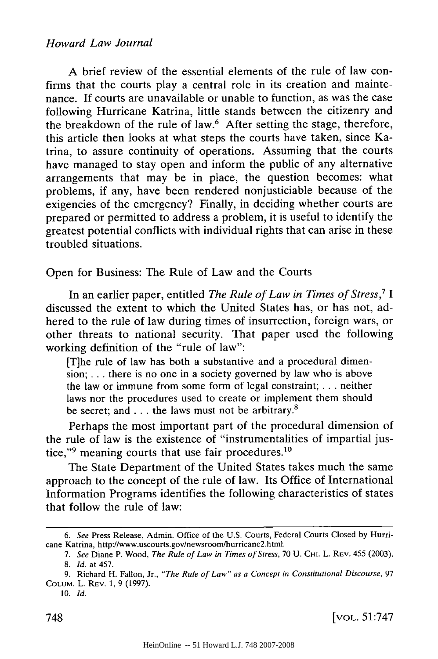### *Howard Law Journal*

A brief review of the essential elements of the rule of law confirms that the courts play a central role in its creation and maintenance. If courts are unavailable or unable to function, as was the case following Hurricane Katrina, little stands between the citizenry and the breakdown of the rule of law.<sup>6</sup> After setting the stage, therefore, this article then looks at what steps the courts have taken, since Katrina, to assure continuity of operations. Assuming that the courts have managed to stay open and inform the public of any alternative arrangements that may be in place, the question becomes: what problems, if any, have been rendered nonjusticiable because of the exigencies of the emergency? Finally, in deciding whether courts are prepared or permitted to address a problem, it is useful to identify the greatest potential conflicts with individual rights that can arise in these troubled situations.

Open for Business: The Rule of Law and the Courts

In an earlier paper, entitled *The Rule of Law in Times of Stress,7 I* discussed the extent to which the United States has, or has not, adhered to the rule of law during times of insurrection, foreign wars, or other threats to national security. That paper used the following working definition of the "rule of law":

[T]he rule of law has both a substantive and a procedural dimension; **..** there is no one in a society governed by law who is above the law or immune from some form of legal constraint; **. . .** neither laws nor the procedures used to create or implement them should be secret; and **...** the laws must not be arbitrary.<sup>8</sup>

Perhaps the most important part of the procedural dimension of the rule of law is the existence of "instrumentalities of impartial justice,"<sup>9</sup> meaning courts that use fair procedures.<sup>10</sup>

The State Department of the United States takes much the same approach to the concept of the rule of law. Its Office of International Information Programs identifies the following characteristics of states that follow the rule of law:

*<sup>6.</sup> See* Press Release, Admin. Office of the U.S. Courts, Federal Courts Closed by Hurricane Katrina, http://www.uscourts.gov/newsroom/hurricane2.html.

*<sup>7.</sup> See* Diane P. Wood, *The Rule of Law in Times of Stress,* 70 U. CHI. L. REV. 455 (2003). 8. *Id.* at 457.

<sup>9.</sup> Richard H. Fallon, Jr., *"The Rule of Law" as a Concept in Constitutional Discourse,* <sup>97</sup> **COLUM.** L. REV. 1, 9 (1997).

<sup>10.</sup> *Id.*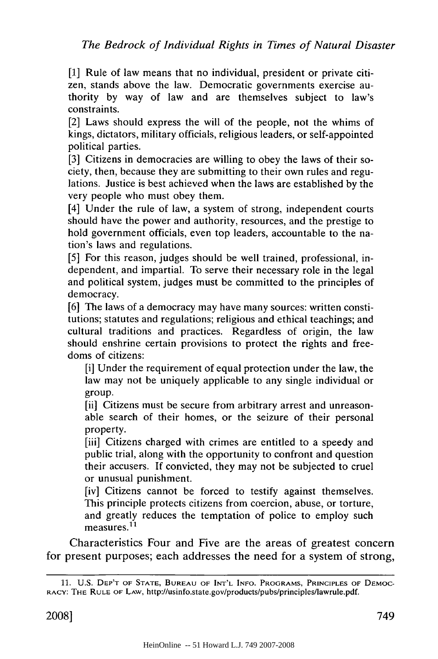[1] Rule of law means that no individual, president or private citizen, stands above the law. Democratic governments exercise authority by way of law and are themselves subject to law's constraints.

[2] Laws should express the will of the people, not the whims of kings, dictators, military officials, religious leaders, or self-appointed political parties.

[3] Citizens in democracies are willing to obey the laws of their society, then, because they are submitting to their own rules and regulations. Justice is best achieved when the laws are established by the very people who must obey them.

[4] Under the rule of law, a system of strong, independent courts should have the power and authority, resources, and the prestige to hold government officials, even top leaders, accountable to the nation's laws and regulations.

[5] For this reason, judges should be well trained, professional, independent, and impartial. To serve their necessary role in the legal and political system, judges must be committed to the principles of democracy.

[6] The laws of a democracy may have many sources: written constitutions; statutes and regulations; religious and ethical teachings; and cultural traditions and practices. Regardless of origin, the law should enshrine certain provisions to protect the rights and freedoms of citizens:

[i] Under the requirement of equal protection under the law, the law may not be uniquely applicable to any single individual or group.

[ii] Citizens must be secure from arbitrary arrest and unreasonable search of their homes, or the seizure of their personal property.

[iii] Citizens charged with crimes are entitled to a speedy and public trial, along with the opportunity to confront and question their accusers. If convicted, they may not be subjected to cruel or unusual punishment.

[iv] Citizens cannot be forced to testify against themselves. This principle protects citizens from coercion, abuse, or torture, and greatly reduces the temptation of police to employ such and greatry<br>measures.<sup>11</sup>

Characteristics Four and Five are the areas of greatest concern for present purposes; each addresses the need for a system of strong,

<sup>11.</sup> U.S. DEP'T OF **STATE, BUREAU** OF **INT'L INFO.** PROGRAMS, PRINCIPLES OF **DEMOC-**RACY: THE RULE **OF** LAW, http://usinfo.state.gov/products/pubs/principles/lawrule.pdf.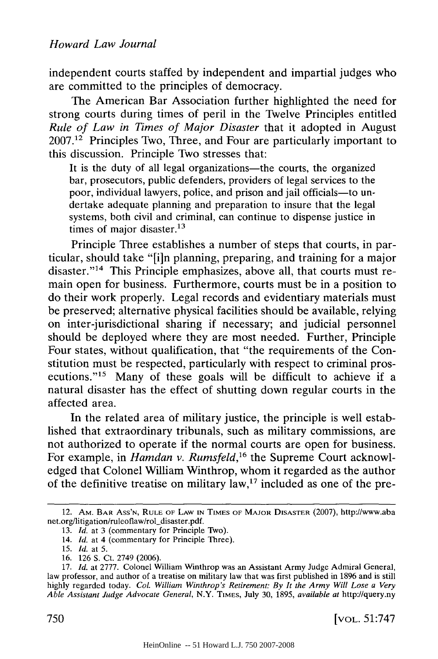independent courts staffed by independent and impartial judges who are committed to the principles of democracy.

The American Bar Association further highlighted the need for strong courts during times of peril in the Twelve Principles entitled *Rule of Law in Times of Major Disaster* that it adopted in August  $2007<sup>12</sup>$  Principles Two, Three, and Four are particularly important to this discussion. Principle Two stresses that:

It is the duty of all legal organizations—the courts, the organized bar, prosecutors, public defenders, providers of legal services to the poor, individual lawyers, police, and prison and jail officials-to undertake adequate planning and preparation to insure that the legal systems, both civil and criminal, can continue to dispense justice in times of major disaster. $^{13}$ 

Principle Three establishes a number of steps that courts, in particular, should take "[i]n planning, preparing, and training for a major disaster."<sup>14</sup> This Principle emphasizes, above all, that courts must remain open for business. Furthermore, courts must be in a position to do their work properly. Legal records and evidentiary materials must be preserved; alternative physical facilities should be available, relying on inter-jurisdictional sharing if necessary; and judicial personnel should be deployed where they are most needed. Further, Principle Four states, without qualification, that "the requirements of the Constitution must be respected, particularly with respect to criminal prosecutions."<sup>15</sup> Many of these goals will be difficult to achieve if a natural disaster has the effect of shutting down regular courts in the affected area.

In the related area of military justice, the principle is well established that extraordinary tribunals, such as military commissions, are not authorized to operate if the normal courts are open for business. For example, in *Hamdan v. Rumsfeld,'6* the Supreme Court acknowledged that Colonel William Winthrop, whom it regarded as the author of the definitive treatise on military law,<sup>17</sup> included as one of the pre-

<sup>12.</sup> AM. BAR Ass'N, RULE OF LAW **IN TIMES** OF MAJOR **DISASTER** (2007), http://www.aba net.org/litigation/ruleoflaw/rol-disaster.pdf.

<sup>13.</sup> *Id.* at 3 (commentary for Principle Two).

<sup>14.</sup> *Id.* at 4 (commentary for Principle Three).

<sup>15.</sup> *Id.* at 5.

<sup>16. 126</sup> **S.** Ct. 2749 (2006).

<sup>17.</sup> *Id.* at 2777. Colonel William Winthrop was an Assistant Army Judge Admiral General, law professor, and author of a treatise on military law that was first published in 1896 and is still highly regarded today. *Col. William Winthrop's Retirement: By It the Army Will Lose a Very Able Assistant Judge Advocate General,* N.Y. TIMES, July 30, 1895, *available at* http://query.ny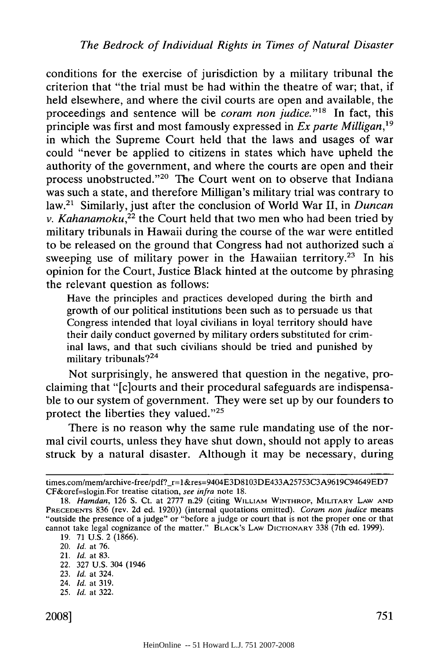conditions for the exercise of jurisdiction by a military tribunal the criterion that "the trial must be had within the theatre of war; that, if held elsewhere, and where the civil courts are open and available, the proceedings and sentence will be *coram non judice*."<sup>18</sup> In fact, this principle was first and most famously expressed in *Ex parte Milligan*,<sup>19</sup> in which the Supreme Court held that the laws and usages of war could "never be applied to citizens in states which have upheld the authority of the government, and where the courts are open and their process unobstructed."<sup>20</sup> The Court went on to observe that Indiana was such a state, and therefore Milligan's military trial was contrary to law.<sup>21</sup> Similarly, just after the conclusion of World War II, in *Duncan v. Kahanamoku*,<sup>22</sup> the Court held that two men who had been tried by military tribunals in Hawaii during the course of the war were entitled to be released on the ground that Congress had not authorized such a sweeping use of military power in the Hawaiian territory.<sup>23</sup> In his opinion for the Court, Justice Black hinted at the outcome by phrasing the relevant question as follows:

Have the principles and practices developed during the birth and growth of our political institutions been such as to persuade us that Congress intended that loyal civilians in loyal territory should have their daily conduct governed by military orders substituted for criminal laws, and that such civilians should be tried and punished by military tribunals?<sup>24</sup>

Not surprisingly, he answered that question in the negative, proclaiming that "[c]ourts and their procedural safeguards are indispensable to our system of government. They were set up by our founders to protect the liberties they valued." $25$ 

There is no reason why the same rule mandating use of the normal civil courts, unless they have shut down, should not apply to areas struck by a natural disaster. Although it may be necessary, during

- 22. 327 U.S. 304 (1946
- 23. *Id.* at 324.
- 24. *Id.* at 319.
- 25. *Id.* at 322.

times.com/mem/archive-free/pdf?\_r=1&res=9404E3D8103DE433A25753C3A9619C94649ED7 CF&oref=slogin.For treatise citation, see infra note 18.

<sup>18.</sup> *Hamdan,* 126 **S.** Ct. at 2777 n.29 (citing WILLIAM WINTHROP, MILITARY LAW **AND** PRECEDENTS 836 (rev. 2d ed. 1920)) (internal quotations omitted). *Coram non judice* means "outside the presence of a judge" or "before a judge or court that is not the proper one or that cannot take legal cognizance of the matter." BLACK's LAW DICTIONARY 338 (7th ed. 1999).

<sup>19. 71</sup> U.S. 2 (1866).

<sup>20.</sup> *Id.* at 76.

<sup>21.</sup> *Id.* at 83.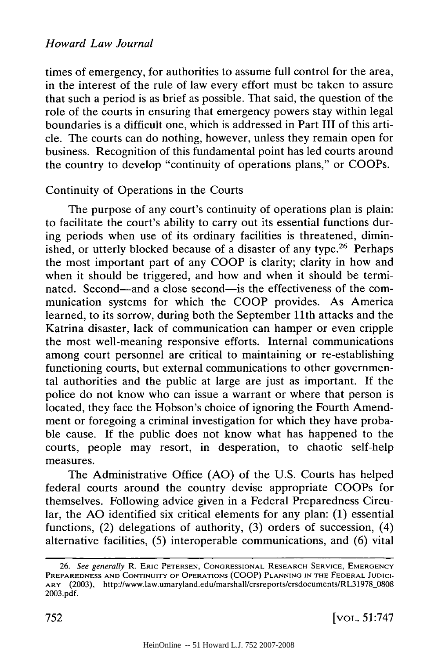times of emergency, for authorities to assume full control for the area, in the interest of the rule of law every effort must be taken to assure that such a period is as brief as possible. That said, the question of the role of the courts in ensuring that emergency powers stay within legal boundaries is a difficult one, which is addressed in Part III of this article. The courts can do nothing, however, unless they remain open for business. Recognition of this fundamental point has led courts around the country to develop "continuity of operations plans," or COOPs.

# Continuity of Operations in the Courts

The purpose of any court's continuity of operations plan is plain: to facilitate the court's ability to carry out its essential functions during periods when use of its ordinary facilities is threatened, diminished, or utterly blocked because of a disaster of any type.<sup>26</sup> Perhaps the most important part of any COOP is clarity; clarity in how and when it should be triggered, and how and when it should be terminated. Second-and a close second-is the effectiveness of the communication systems for which the COOP provides. As America learned, to its sorrow, during both the September 11th attacks and the Katrina disaster, lack of communication can hamper or even cripple the most well-meaning responsive efforts. Internal communications among court personnel are critical to maintaining or re-establishing functioning courts, but external communications to other governmental authorities and the public at large are just as important. If the police do not know who can issue a warrant or where that person is located, they face the Hobson's choice of ignoring the Fourth Amendment or foregoing a criminal investigation for which they have probable cause. If the public does not know what has happened to the courts, people may resort, in desperation, to chaotic self-help measures.

The Administrative Office (AO) of the U.S. Courts has helped federal courts around the country devise appropriate COOPs for themselves. Following advice given in a Federal Preparedness Circular, the AO identified six critical elements for any plan: (1) essential functions, (2) delegations of authority, (3) orders of succession, (4) alternative facilities, (5) interoperable communications, and (6) vital

<sup>26.</sup> See generally R. ERIC **PETERSEN,** CONGRESSIONAL RESEARCH SERVICE, EMERGENCY PREPAREDNESS **AND CONTINUITY** OF **OPERATIONS** (COOP) **PLANNING IN THE** FEDERAL **JUDICI-**ARY (2003), http://www.law.umaryland.edu/marshall/crsreports/crsdocuments/RL31978\_0808 2003.pdf.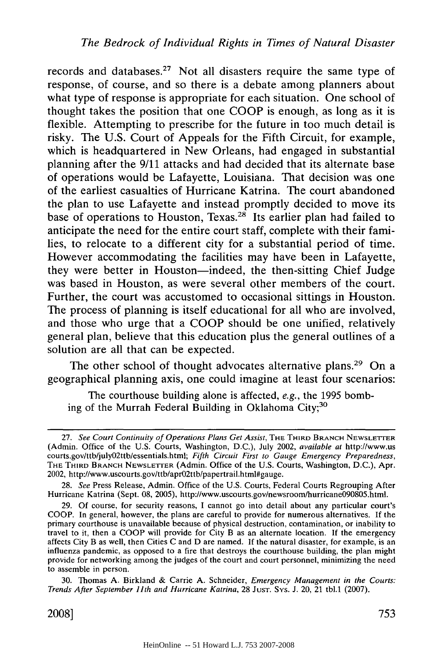records and databases.27 Not all disasters require the same type of response, of course, and so there is a debate among planners about what type of response is appropriate for each situation. One school of thought takes the position that one COOP is enough, as long as it is flexible. Attempting to prescribe for the future in too much detail is risky. The U.S. Court of Appeals for the Fifth Circuit, for example, which is headquartered in New Orleans, had engaged in substantial planning after the 9/11 attacks and had decided that its alternate base of operations would be Lafayette, Louisiana. That decision was one of the earliest casualties of Hurricane Katrina. The court abandoned the plan to use Lafayette and instead promptly decided to move its base of operations to Houston, Texas.<sup>28</sup> Its earlier plan had failed to anticipate the need for the entire court staff, complete with their families, to relocate to a different city for a substantial period of time. However accommodating the facilities may have been in Lafayette, they were better in Houston-indeed, the then-sitting Chief Judge was based in Houston, as were several other members of the court. Further, the court was accustomed to occasional sittings in Houston. The process of planning is itself educational for all who are involved, and those who urge that a COOP should be one unified, relatively general plan, believe that this education plus the general outlines of a solution are all that can be expected.

The other school of thought advocates alternative plans.<sup>29</sup> On a geographical planning axis, one could imagine at least four scenarios:

The courthouse building alone is affected, *e.g.,* the 1995 bombing of the Murrah Federal Building in Oklahoma City;<sup>30</sup>

2008]

<sup>27.</sup> *See Court Continuity of Operations Plans Get Assist,* THE THIRD BRANCH NEWSLETTER (Admin. Office of the U.S. Courts, Washington, D.C.), July 2002, *available at* http://www.us courts.gov/ttb/july02ttb/essentials.html; *Fifth Circuit First to Gauge Emergency Preparedness,* THE THIRD BRANCH NEWSLETTER (Admin. Office of the U.S. Courts, Washington, D.C.), Apr. 2002, http://www.uscourts.gov/ttb/apr02ttb/papertrail.html#gauge.

<sup>28.</sup> *See* Press Release, Admin. Office of the U.S. Courts, Federal Courts Regrouping After Hurricane Katrina (Sept. 08, 2005), http://www.uscourts.gov/newsroom/hurricane090805.html.

<sup>29.</sup> Of course, for security reasons, I cannot go into detail about any particular court's COOP. In general, however, the plans are careful to provide for numerous alternatives. If the primary courthouse is unavailable because of physical destruction, contamination, or inability to travel to it, then a COOP will provide for City B as an alternate location. If the emergency affects City B as well, then Cities C and D are named. If the natural disaster, for example, is an influenza pandemic, as opposed to a fire that destroys the courthouse building, the plan might provide for networking among the judges of the court and court personnel, minimizing the need to assemble in person.

<sup>30.</sup> Thomas A. Birkland & Carrie A. Schneider, *Emergency Management in the Courts: Trends After September 11th and Hurricane Katrina,* 28 JUST. Sys. J. 20, 21 tbl.1 (2007).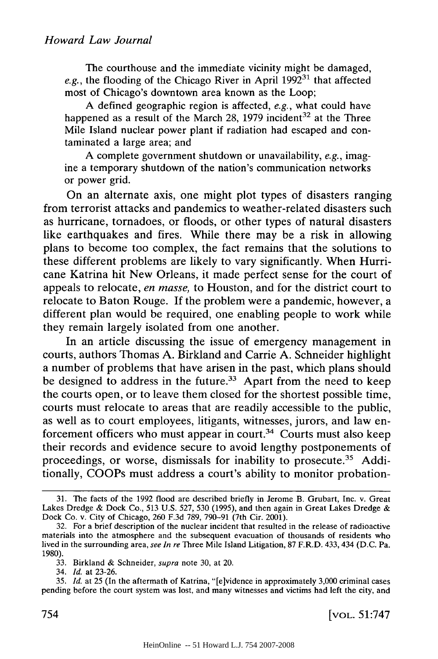The courthouse and the immediate vicinity might be damaged,  $e.g.,$  the flooding of the Chicago River in April  $1992^{31}$  that affected most of Chicago's downtown area known as the Loop;

A defined geographic region is affected, *e.g.,* what could have happened as a result of the March 28, 1979 incident<sup>32</sup> at the Three Mile Island nuclear power plant if radiation had escaped and contaminated a large area; and

A complete government shutdown or unavailability, *e.g.,* imagine a temporary shutdown of the nation's communication networks or power grid.

On an alternate axis, one might plot types of disasters ranging from terrorist attacks and pandemics to weather-related disasters such as hurricane, tornadoes, or floods, or other types of natural disasters like earthquakes and fires. While there may be a risk in allowing plans to become too complex, the fact remains that the solutions to these different problems are likely to vary significantly. When Hurricane Katrina hit New Orleans, it made perfect sense for the court of appeals to relocate, *en masse,* to Houston, and for the district court to relocate to Baton Rouge. If the problem were a pandemic, however, a different plan would be required, one enabling people to work while they remain largely isolated from one another.

In an article discussing the issue of emergency management in courts, authors Thomas A. Birkland and Carrie A. Schneider highlight a number of problems that have arisen in the past, which plans should be designed to address in the future.<sup>33</sup> Apart from the need to keep the courts open, or to leave them closed for the shortest possible time, courts must relocate to areas that are readily accessible to the public, as well as to court employees, litigants, witnesses, jurors, and law enforcement officers who must appear in court.<sup>34</sup> Courts must also keep their records and evidence secure to avoid lengthy postponements of proceedings, or worse, dismissals for inability to prosecute.<sup>35</sup> Additionally, COOPs must address a court's ability to monitor probation-

<sup>31.</sup> The facts of the 1992 flood are described briefly in Jerome B. Grubart, Inc. v. Great Lakes Dredge & Dock Co., 513 U.S. 527, 530 (1995), and then again in Great Lakes Dredge & Dock Co. v. City of Chicago, 260 F.3d 789, 790-91 (7th Cir. 2001).

<sup>32.</sup> For a brief description of the nuclear incident that resulted in the release of radioactive materials into the atmosphere and the subsequent evacuation of thousands of residents who lived in the surrounding area, *see In re* Three Mile Island Litigation, 87 F.R.D. 433, 434 (D.C. Pa. 1980).

<sup>33.</sup> Birkland & Schneider, *supra* note 30, at 20.

<sup>34.</sup> *Id.* at 23-26.

<sup>35.</sup> *Id.* at 25 (In the aftermath of Katrina, "[e]vidence in approximately 3,000 criminal cases pending before the court system was lost, and many witnesses and victims had left the city, and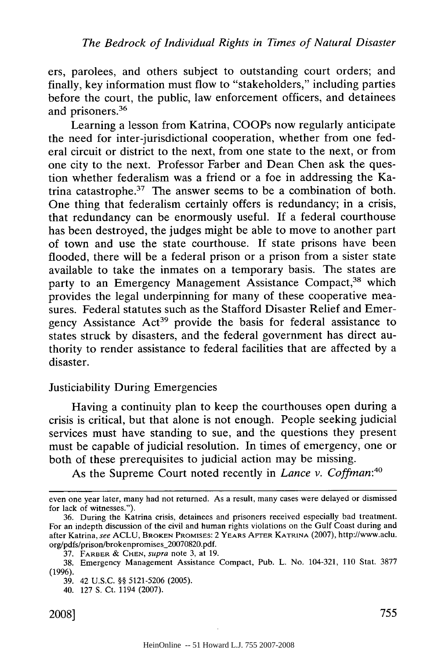ers, parolees, and others subject to outstanding court orders; and finally, key information must flow to "stakeholders," including parties before the court, the public, law enforcement officers, and detainees and prisoners.36

Learning a lesson from Katrina, COOPs now regularly anticipate the need for inter-jurisdictional cooperation, whether from one federal circuit or district to the next, from one state to the next, or from one city to the next. Professor Farber and Dean Chen ask the question whether federalism was a friend or a foe in addressing the Katrina catastrophe.37 The answer seems to be a combination of both. One thing that federalism certainly offers is redundancy; in a crisis, that redundancy can be enormously useful. If a federal courthouse has been destroyed, the judges might be able to move to another part of town and use the state courthouse. If state prisons have been flooded, there will be a federal prison or a prison from a sister state available to take the inmates on a temporary basis. The states are party to an Emergency Management Assistance Compact,<sup>38</sup> which provides the legal underpinning for many of these cooperative measures. Federal statutes such as the Stafford Disaster Relief and Emergency Assistance Act<sup>39</sup> provide the basis for federal assistance to states struck by disasters, and the federal government has direct authority to render assistance to federal facilities that are affected by a disaster.

#### Justiciability During Emergencies

Having a continuity plan to keep the courthouses open during a crisis is critical, but that alone is not enough. People seeking judicial services must have standing to sue, and the questions they present must be capable of judicial resolution. In times of emergency, one or both of these prerequisites to judicial action may be missing.

As the Supreme Court noted recently in *Lance v. Coffman*:<sup>40</sup>

even one year later, many had not returned. As a result, many cases were delayed or dismissed for lack of witnesses.").

<sup>36.</sup> During the Katrina crisis, detainees and prisoners received especially bad treatment. For an indepth discussion of the civil and human rights violations on the Gulf Coast during and after Katrina, see ACLU, BROKEN PROMISES: 2 YEARS **AFrER** KATRINA (2007), http://www.aclu. org/pdfs/prison/brokenpromises 20070820.pdf.

<sup>37.</sup> FARBER & CHEN, *supra* note 3, at 19.

<sup>38.</sup> Emergency Management Assistance Compact, Pub. L. No. 104-321, 110 Stat. 3877 (1996).

<sup>39. 42</sup> U.S.C. §§ 5121-5206 (2005).

<sup>40. 127</sup> S. Ct. 1194 (2007).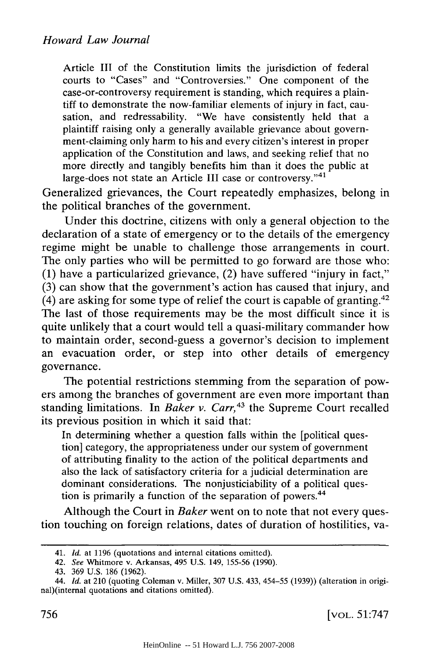Article III of the Constitution limits the jurisdiction of federal courts to "Cases" and "Controversies." One component of the case-or-controversy requirement is standing, which requires a plaintiff to demonstrate the now-familiar elements of injury in fact, causation, and redressability. "We have consistently held that a plaintiff raising only a generally available grievance about government-claiming only harm to his and every citizen's interest in proper application of the Constitution and laws, and seeking relief that no more directly and tangibly benefits him than it does the public at large-does not state an Article III case or controversy."<sup>41</sup>

Generalized grievances, the Court repeatedly emphasizes, belong in the political branches of the government.

Under this doctrine, citizens with only a general objection to the declaration of a state of emergency or to the details of the emergency regime might be unable to challenge those arrangements in court. The only parties who will be permitted to go forward are those who: (1) have a particularized grievance, (2) have suffered "injury in fact," (3) can show that the government's action has caused that injury, and  $(4)$  are asking for some type of relief the court is capable of granting.<sup>42</sup> The last of those requirements may be the most difficult since it is quite unlikely that a court would tell a quasi-military commander how to maintain order, second-guess a governor's decision to implement an evacuation order, or step into other details of emergency governance.

The potential restrictions stemming from the separation of powers among the branches of government are even more important than standing limitations. In *Baker v. Carr*,<sup>43</sup> the Supreme Court recalled its previous position in which it said that:

In determining whether a question falls within the [political question] category, the appropriateness under our system of government of attributing finality to the action of the political departments and also the lack of satisfactory criteria for a judicial determination are dominant considerations. The nonjusticiability of a political question is primarily a function of the separation of powers.<sup>44</sup>

Although the Court in *Baker* went on to note that not every question touching on foreign relations, dates of duration of hostilities, va-

<sup>41.</sup> *Id.* at 1196 (quotations and internal citations omitted).

<sup>42.</sup> *See* Whitmore v. Arkansas, 495 U.S. 149, 155-56 (1990).

<sup>43. 369</sup> U.S. 186 (1962).

<sup>44.</sup> *Id.* at 210 (quoting Coleman v. Miller, 307 U.S. 433, 454-55 (1939)) (alteration in original)(internal quotations and citations omitted).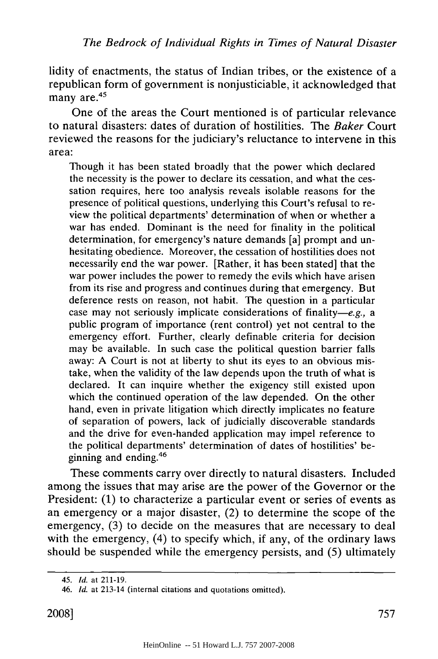lidity of enactments, the status of Indian tribes, or the existence of a republican form of government is nonjusticiable, it acknowledged that many are.<sup>45</sup>

One of the areas the Court mentioned is of particular relevance to natural disasters: dates of duration of hostilities. The *Baker* Court reviewed the reasons for the judiciary's reluctance to intervene in this area:

Though it has been stated broadly that the power which declared the necessity is the power to declare its cessation, and what the cessation requires, here too analysis reveals isolable reasons for the presence of political questions, underlying this Court's refusal to review the political departments' determination of when or whether a war has ended. Dominant is the need for finality in the political determination, for emergency's nature demands [a] prompt and unhesitating obedience. Moreover, the cessation of hostilities does not necessarily end the war power. [Rather, it has been stated] that the war power includes the power to remedy the evils which have arisen from its rise and progress and continues during that emergency. But deference rests on reason, not habit. The question in a particular case may not seriously implicate considerations of finality-e.g., a public program of importance (rent control) yet not central to the emergency effort. Further, clearly definable criteria for decision may be available. In such case the political question barrier falls away: A Court is not at liberty to shut its eyes to an obvious mistake, when the validity of the law depends upon the truth of what is declared. It can inquire whether the exigency still existed upon which the continued operation of the law depended. On the other hand, even in private litigation which directly implicates no feature of separation of powers, lack of judicially discoverable standards and the drive for even-handed application may impel reference to the political departments' determination of dates of hostilities' beginning and ending.<sup>46</sup>

These comments carry over directly to natural disasters. Included among the issues that may arise are the power of the Governor or the President: (1) to characterize a particular event or series of events as an emergency or a major disaster, (2) to determine the scope of the emergency, (3) to decide on the measures that are necessary to deal with the emergency, (4) to specify which, if any, of the ordinary laws should be suspended while the emergency persists, and (5) ultimately

<sup>45.</sup> *Id.* at 211-19.

<sup>46.</sup> *Id.* at 213-14 (internal citations and quotations omitted).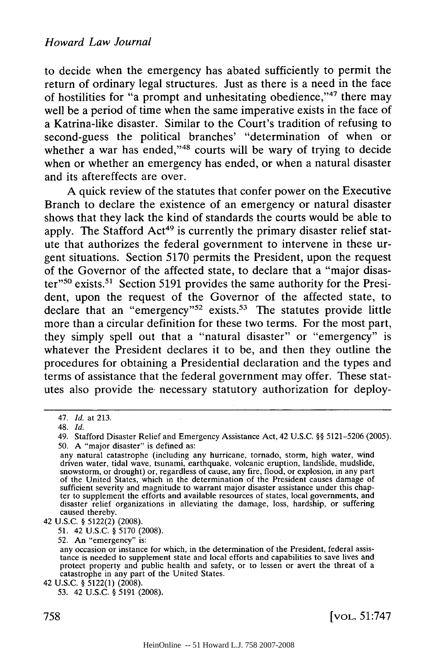to decide when the emergency has abated sufficiently to permit the return of ordinary legal structures. Just as there is a need in the face of hostilities for "a prompt and unhesitating obedience,"47 there may well be a period of time when the same imperative exists in the face of a Katrina-like disaster. Similar to the Court's tradition of refusing to second-guess the political branches' "determination of when or whether a war has ended,"<sup>48</sup> courts will be wary of trying to decide when or whether an emergency has ended, or when a natural disaster and its aftereffects are over.

A quick review of the statutes that confer power on the Executive Branch to declare the existence of an emergency or natural disaster shows that they lack the kind of standards the courts would be able to apply. The Stafford Act<sup>49</sup> is currently the primary disaster relief statute that authorizes the federal government to intervene in these urgent situations. Section 5170 permits the President, upon the request of the Governor of the affected state, to declare that a "major disaster"<sup>50</sup> exists.<sup>51</sup> Section 5191 provides the same authority for the President, upon the request of the Governor of the affected state, to declare that an "emergency"<sup>52</sup> exists.<sup>53</sup> The statutes provide little more than a circular definition for these two terms. For the most part, they simply spell out that a "natural disaster" or "emergency" is whatever the President declares it to be, and then they outline the procedures for obtaining a Presidential declaration and the types and terms of assistance that the federal government may offer. These statutes also provide the necessary statutory authorization for deploy-

42 U.S.C. § 5122(2) (2008).

51. 42 U.S.C. § 5170 (2008).

52. An "emergency" is:

42 U.S.C. § 5122(1) (2008).

<sup>47.</sup> *Id.* at 213.

<sup>48.</sup> *Id.*

<sup>49.</sup> Stafford Disaster Relief and Emergency Assistance Act, 42 U.S.C. §§ 5121-5206 (2005). 50. A "major disaster" is defined as:

any natural catastrophe (including any hurricane, tornado, storm, high water, wind driven water, tidal wave, tsunami, earthquake, volcanic eruption, landslide, mudslide snowstorm, or drought) or, regardless of cause, any fire, flood, or explosion, in any part of the United States, which in the determinat sufficient severity and magnitude to warrant major disaster assistance under this chapter to supplement the efforts and available resources of states, local governments, and disaster relief organizations in alleviating the damage, loss, hardship, or suffering caused thereby.

any occasion or instance for which, in the determination of the President, federal assistance is needed to supplement state and local efforts and capabilities to save lives and protect property and public health and safety, or to lessen or avert the threat of a catastrophe in any part of the United States.

<sup>53. 42</sup> U.S.C. § 5191 (2008).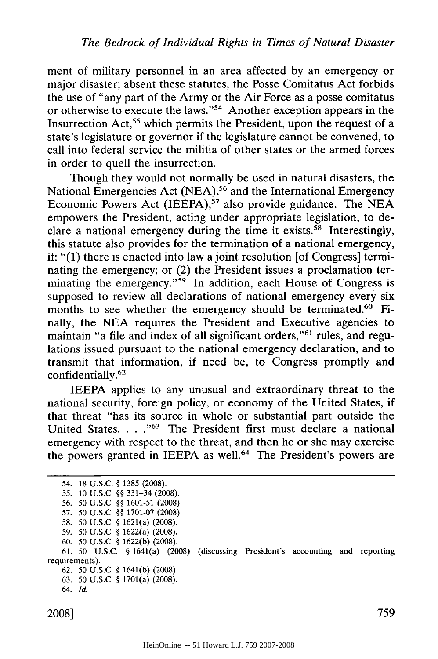ment of military personnel in an area affected by an emergency or major disaster; absent these statutes, the Posse Comitatus Act forbids the use of "any part of the Army or the Air Force as a posse comitatus or otherwise to execute the laws."54 Another exception appears in the Insurrection Act,<sup>55</sup> which permits the President, upon the request of a state's legislature or governor if the legislature cannot be convened, to call into federal service the militia of other states or the armed forces in order to quell the insurrection.

Though they would not normally be used in natural disasters, the National Emergencies Act (NEA),<sup>56</sup> and the International Emergency Economic Powers Act (IEEPA),<sup>57</sup> also provide guidance. The NEA empowers the President, acting under appropriate legislation, to declare a national emergency during the time it exists.<sup>58</sup> Interestingly, this statute also provides for the termination of a national emergency, if: "(1) there is enacted into law a joint resolution [of Congress] terminating the emergency; or (2) the President issues a proclamation terminating the emergency."<sup>59</sup> In addition, each House of Congress is supposed to review all declarations of national emergency every six months to see whether the emergency should be terminated.<sup>60</sup> Finally, the NEA requires the President and Executive agencies to maintain "a file and index of all significant orders,"<sup>61</sup> rules, and regulations issued pursuant to the national emergency declaration, and to transmit that information, if need be, to Congress promptly and confidentially.62

IEEPA applies to any unusual and extraordinary threat to the national security, foreign policy, or economy of the United States, if that threat "has its source in whole or substantial part outside the United States. . . .<sup>"63</sup> The President first must declare a national emergency with respect to the threat, and then he or she may exercise the powers granted in IEEPA as well.<sup>64</sup> The President's powers are

<sup>54. 18</sup> U.S.C. § 1385 (2008). 55. **10** U.S.C. §§ 331-34 (2008). *56.* 50 U.S.C. §§ 1601-51 (2008). 57. 50 U.S.C. §§ 1701-07 (2008). 58. 50 U.S.C. § 1621(a) (2008). 59. 50 U.S.C. § 1622(a) (2008). 60. 50 U.S.C. § 1622(b) (2008). **61. 50** U.S.C. § 1641(a) (2008) (discussing President's accounting and reporting requirements). **62. 50 U.S.C.** § 1641(b) (2008). 63. **50** U.S.C. § 1701(a) (2008). 64. *Id.*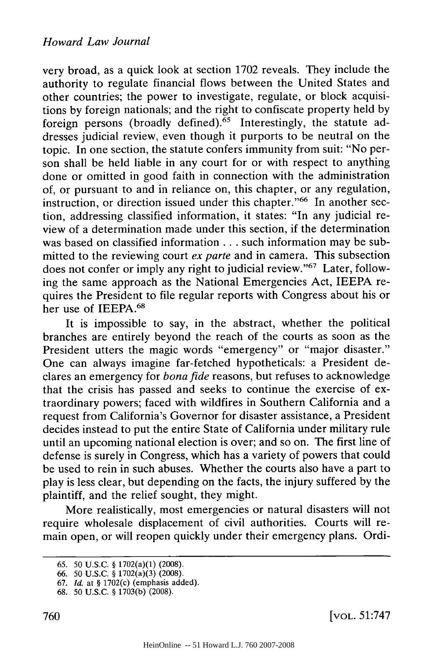very broad, as a quick look at section 1702 reveals. They include the authority to regulate financial flows between the United States and other countries; the power to investigate, regulate, or block acquisitions by foreign nationals; and the right to confiscate property held by foreign persons (broadly defined).<sup>65</sup> Interestingly, the statute addresses judicial review, even though it purports to be neutral on the topic. In one section, the statute confers immunity from suit: "No person shall be held liable in any court for or with respect to anything done or omitted in good faith in connection with the administration of, or pursuant to and in reliance on, this chapter, or any regulation, instruction, or direction issued under this chapter."<sup>66</sup> In another section, addressing classified information, it states: "In any judicial review of a determination made under this section, if the determination was based on classified information **. . .** such information may be submitted to the reviewing court *ex parte* and in camera. This subsection does not confer or imply any right to judicial review."<sup>67</sup> Later, following the same approach as the National Emergencies Act, IEEPA requires the President to file regular reports with Congress about his or her use of IEEPA.<sup>68</sup>

It is impossible to say, in the abstract, whether the political branches are entirely beyond the reach of the courts as soon as the President utters the magic words "emergency" or "major disaster." One can always imagine far-fetched hypotheticals: a President declares an emergency for *bona fide* reasons, but refuses to acknowledge that the crisis has passed and seeks to continue the exercise of extraordinary powers; faced with wildfires in Southern California and a request from California's Governor for disaster assistance, a President decides instead to put the entire State of California under military rule until an upcoming national election is over; and so on. The first line of defense is surely in Congress, which has a variety of powers that could be used to rein in such abuses. Whether the courts also have a part to play is less clear, but depending on the facts, the injury suffered by the plaintiff, and the relief sought, they might.

More realistically, most emergencies or natural disasters will not require wholesale displacement of civil authorities. Courts will remain open, or will reopen quickly under their emergency plans. Ordi-

[VOL. 51:747

<sup>65. 50</sup> U.S.C. § 1702(a)(1) **(2008).**

<sup>66. 50</sup> U.S.C. § 1702(a)(3) (2008).

**<sup>67.</sup>** *Id.* at § 1702(c) (emphasis added).

<sup>68. 50</sup> U.S.C. § 1703(b) (2008).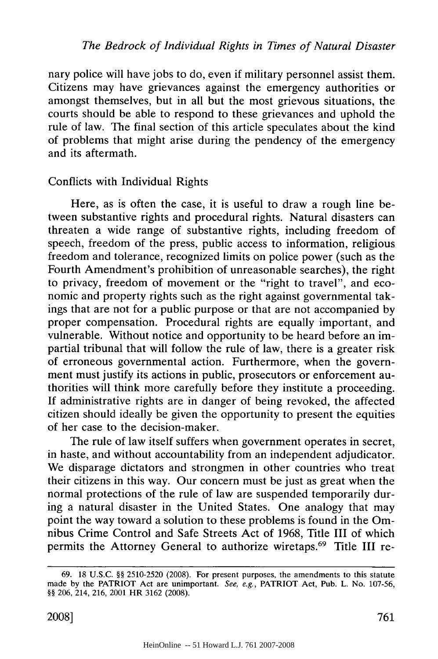nary police will have jobs to do, even if military personnel assist them. Citizens may have grievances against the emergency authorities or amongst themselves, but in all but the most grievous situations, the courts should be able to respond to these grievances and uphold the rule of law. The final section of this article speculates about the kind of problems that might arise during the pendency of the emergency and its aftermath.

# Conflicts with Individual Rights

Here, as is often the case, it is useful to draw a rough line between substantive rights and procedural rights. Natural disasters can threaten a wide range of substantive rights, including freedom of speech, freedom of the press, public access to information, religious freedom and tolerance, recognized limits on police power (such as the Fourth Amendment's prohibition of unreasonable searches), the right to privacy, freedom of movement or the "right to travel", and economic and property rights such as the right against governmental takings that are not for a public purpose or that are not accompanied by proper compensation. Procedural rights are equally important, and vulnerable. Without notice and opportunity to be heard before an impartial tribunal that will follow the rule of law, there is a greater risk of erroneous governmental action. Furthermore, when the government must justify its actions in public, prosecutors or enforcement authorities will think more carefully before they institute a proceeding. If administrative rights are in danger of being revoked, the affected citizen should ideally be given the opportunity to present the equities of her case to the decision-maker.

The rule of law itself suffers when government operates in secret, in haste, and without accountability from an independent adjudicator. We disparage dictators and strongmen in other countries who treat their citizens in this way. Our concern must be just as great when the normal protections of the rule of law are suspended temporarily during a natural disaster in the United States. One analogy that may point the way toward a solution to these problems is found in the Omnibus Crime Control and Safe Streets Act of 1968, Title III of which permits the Attorney General to authorize wiretaps.<sup>69</sup> Title III re-

<sup>69. 18</sup> U.S.C. §§ **2510-2520 (2008).** For present purposes, the amendments to this statute made **by** the PATRIOT Act are unimportant. See, e.g., PATRIOT Act, Pub. L. No. **107-56,** §§ **206,** 214, **216,** 2001 HR **3162 (2008).**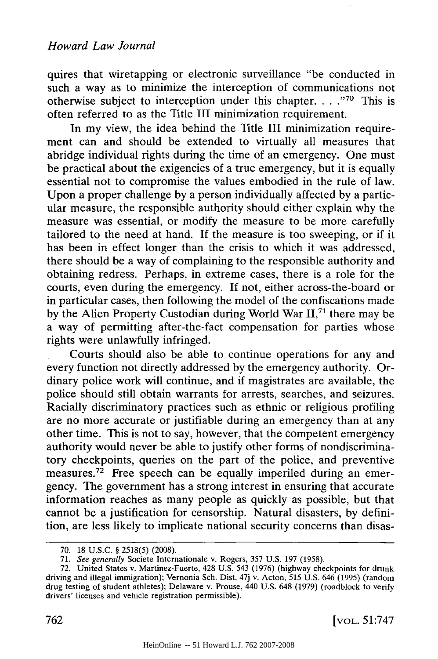quires that wiretapping or electronic surveillance "be conducted in such a way as to minimize the interception of communications not otherwise subject to interception under this chapter  $\dots$  <sup>70</sup> This is often referred to as the Title III minimization requirement.

In my view, the idea behind the Title III minimization requirement can and should be extended to virtually all measures that abridge individual rights during the time of an emergency. One must be practical about the exigencies of a true emergency, but it is equally essential not to compromise the values embodied in the rule of law. Upon a proper challenge by a person individually affected by a particular measure, the responsible authority should either explain why the measure was essential, or modify the measure to be more carefully tailored to the need at hand. If the measure is too sweeping, or if it has been in effect longer than the crisis to which it was addressed, there should be a way of complaining to the responsible authority and obtaining redress. Perhaps, in extreme cases, there is a role for the courts, even during the emergency. If not, either across-the-board or in particular cases, then following the model of the confiscations made by the Alien Property Custodian during World War  $II$ ,<sup>71</sup>, there may be a way of permitting after-the-fact compensation for parties whose rights were unlawfully infringed.

Courts should also be able to continue operations for any and every function not directly addressed by the emergency authority. Ordinary police work will continue, and if magistrates are available, the police should still obtain warrants for arrests, searches, and seizures. Racially discriminatory practices such as ethnic or religious profiling are no more accurate or justifiable during an emergency than at any other time. This is not to say, however, that the competent emergency authority would never be able to justify other forms of nondiscriminatory checkpoints, queries on the part of the police, and preventive measures.<sup>72</sup> Free speech can be equally imperiled during an emergency. The government has a strong interest in ensuring that accurate information reaches as many people as quickly as possible, but that cannot be a justification for censorship. Natural disasters, by definition, are less likely to implicate national security concerns than disas-

<sup>70. 18</sup> U.S.C. § 2518(5) (2008).

<sup>71.</sup> *See generally* Societe Internationale v. Rogers, 357 U.S. 197 (1958).

<sup>72.</sup> United States v. Martinez-Fuerte, 428 U.S. 543 (1976) (highway checkpoints for drunk driving and illegal immigration); Vernonia Sch. Dist. 47j v. Acton, 515 U.S. 646 (1995) (random drug testing of student athletes); Delaware v. Prouse, 440 U.S. 648 (1979) (roadblock to verify drivers' licenses and vehicle registration permissible).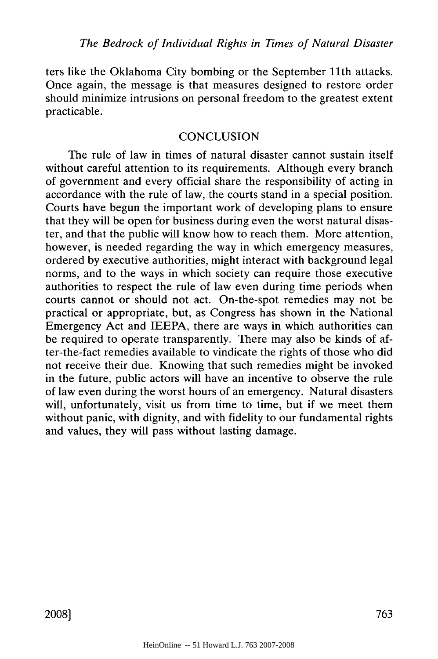ters like the Oklahoma City bombing or the September 11th attacks. Once again, the message is that measures designed to restore order should minimize intrusions on personal freedom to the greatest extent practicable.

## **CONCLUSION**

The rule of law in times of natural disaster cannot sustain itself without careful attention to its requirements. Although every branch of government and every official share the responsibility of acting in accordance with the rule of law, the courts stand in a special position. Courts have begun the important work of developing plans to ensure that they will be open for business during even the worst natural disaster, and that the public will know how to reach them. More attention, however, is needed regarding the way in which emergency measures, ordered by executive authorities, might interact with background legal norms, and to the ways in which society can require those executive authorities to respect the rule of law even during time periods when courts cannot or should not act. On-the-spot remedies may not be practical or appropriate, but, as Congress has shown in the National Emergency Act and IEEPA, there are ways in which authorities can be required to operate transparently. There may also be kinds of after-the-fact remedies available to vindicate the rights of those who did not receive their due. Knowing that such remedies might be invoked in the future, public actors will have an incentive to observe the rule of law even during the worst hours of an emergency. Natural disasters will, unfortunately, visit us from time to time, but if we meet them without panic, with dignity, and with fidelity to our fundamental rights and values, they will pass without lasting damage.